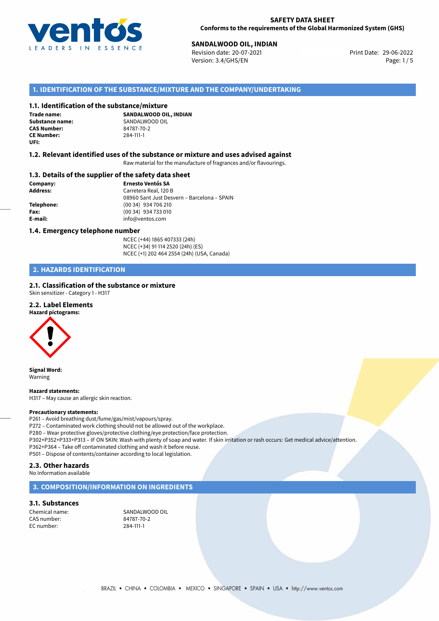

# **29-06-2022 SANDALWOOD OIL, INDIAN**<br>29-06-2022 **Revision date: 20-07-2021**

Revision date: 20-07-2021 Version: 3.4/GHS/EN Page: 1 / 5

# **1. IDENTIFICATION OF THE SUBSTANCE/MIXTURE AND THE COMPANY/UNDERTAKING**

## **1.1. Identification of the substance/mixture**

**Trade name: CAS Number: CE Number:** 284-111-1 **UFI:**

**SANDALWOOD OIL, INDIAN Substance name:** SANDALWOOD OIL<br> **CAS Number:** 84787-70-2

## **1.2. Relevant identified uses of the substance or mixture and uses advised against**

Raw material for the manufacture of fragrances and/or flavourings.

## **1.3. Details of the supplier of the safety data sheet**

**Company: Ernesto Ventós SA Address:** Carretera Real, 120 B 08960 Sant Just Desvern – Barcelona – SPAIN **Telephone:** (00 34) 934 706 210 **Fax:** (00 34) 934 733 010 **E-mail:** info@ventos.com

### **1.4. Emergency telephone number**

NCEC (+44) 1865 407333 (24h) NCEC (+34) 91 114 2520 (24h) (ES) NCEC (+1) 202 464 2554 (24h) (USA, Canada)

# **2. HAZARDS IDENTIFICATION**

## **2.1. Classification of the substance or mixture**

Skin sensitizer - Category 1 - H317

# **2.2. Label Elements**

**Hazard pictograms:**



**Signal Word:** Warning

# **Hazard statements:**

H317 – May cause an allergic skin reaction.

### **Precautionary statements:**

P261 – Avoid breathing dust/fume/gas/mist/vapours/spray.

P272 – Contaminated work clothing should not be allowed out of the workplace.

P280 – Wear protective gloves/protective clothing/eye protection/face protection.

P302+P352+P333+P313 – IF ON SKIN: Wash with plenty of soap and water. If skin irritation or rash occurs: Get medical advice/attention. P362+P364 – Take off contaminated clothing and wash it before reuse.

P501 – Dispose of contents/container according to local legislation.

# **2.3. Other hazards**

No Information available

# **3. COMPOSITION/INFORMATION ON INGREDIENTS**

## **3.1. Substances**

CAS number: EC number: 284-111-1

Chemical name: SANDALWOOD OIL<br>
CAS number: S4787-70-2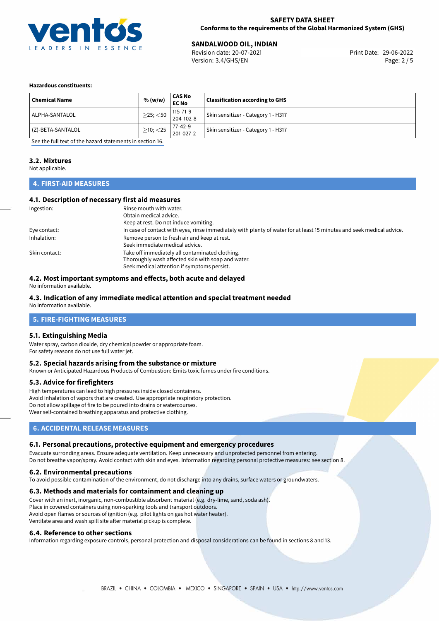

# **29-06-2022 SANDALWOOD OIL, INDIAN**<br> **29-06-2022 Revision date: 20-07-2021**

Revision date: 20-07-2021 Version: 3.4/GHS/EN Page: 2 / 5

### **Hazardous constituents:**

| <b>Chemical Name</b> | % (w/w)        | <b>CAS No</b><br><b>EC No</b> | <b>Classification according to GHS</b> |
|----------------------|----------------|-------------------------------|----------------------------------------|
| ALPHA-SANTALOL       | $>$ 25; $<$ 50 | $115 - 71 - 9$<br>204-102-8   | Skin sensitizer - Category 1 - H317    |
| (Z)-BETA-SANTALOL    | $>10$ ; $<$ 25 | 77-42-9<br>201-027-2          | Skin sensitizer - Category 1 - H317    |

[See the full text of the hazard statements in section 16.](#page-4-0)

# **3.2. Mixtures**

Not applicable.

# **4. FIRST-AID MEASURES**

## **4.1. Description of necessary first aid measures**

| Ingestion:    | Rinse mouth with water.                                                                                               |  |  |
|---------------|-----------------------------------------------------------------------------------------------------------------------|--|--|
|               | Obtain medical advice.                                                                                                |  |  |
|               | Keep at rest. Do not induce vomiting.                                                                                 |  |  |
| Eye contact:  | In case of contact with eyes, rinse immediately with plenty of water for at least 15 minutes and seek medical advice. |  |  |
| Inhalation:   | Remove person to fresh air and keep at rest.                                                                          |  |  |
|               | Seek immediate medical advice.                                                                                        |  |  |
| Skin contact: | Take off immediately all contaminated clothing.                                                                       |  |  |
|               | Thoroughly wash affected skin with soap and water.                                                                    |  |  |
|               | Seek medical attention if symptoms persist.                                                                           |  |  |

#### **4.2. Most important symptoms and effects, both acute and delayed**

No information available.

# **4.3. Indication of any immediate medical attention and special treatment needed**

No information available.

# **5. FIRE-FIGHTING MEASURES**

## **5.1. Extinguishing Media**

Water spray, carbon dioxide, dry chemical powder or appropriate foam. For safety reasons do not use full water jet.

#### **5.2. Special hazards arising from the substance or mixture**

Known or Anticipated Hazardous Products of Combustion: Emits toxic fumes under fire conditions.

## **5.3. Advice for firefighters**

High temperatures can lead to high pressures inside closed containers. Avoid inhalation of vapors that are created. Use appropriate respiratory protection. Do not allow spillage of fire to be poured into drains or watercourses. Wear self-contained breathing apparatus and protective clothing.

# **6. ACCIDENTAL RELEASE MEASURES**

## **6.1. Personal precautions, protective equipment and emergency procedures**

Evacuate surronding areas. Ensure adequate ventilation. Keep unnecessary and unprotected personnel from entering. Do not breathe vapor/spray. Avoid contact with skin and eyes. Information regarding personal protective measures: see section 8.

### **6.2. Environmental precautions**

To avoid possible contamination of the environment, do not discharge into any drains, surface waters or groundwaters.

#### **6.3. Methods and materials for containment and cleaning up**

Cover with an inert, inorganic, non-combustible absorbent material (e.g. dry-lime, sand, soda ash). Place in covered containers using non-sparking tools and transport outdoors. Avoid open flames or sources of ignition (e.g. pilot lights on gas hot water heater). Ventilate area and wash spill site after material pickup is complete.

#### **6.4. Reference to other sections**

Information regarding exposure controls, personal protection and disposal considerations can be found in sections 8 and 13.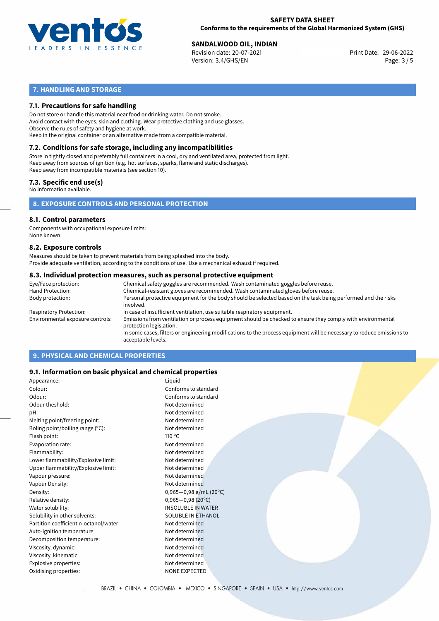

# **29-06-2022 SANDALWOOD OIL, INDIAN**<br>29-06-2022 Revision date: 20-07-2021

Revision date: 20-07-2021 Version: 3.4/GHS/EN Page: 3 / 5

# **7. HANDLING AND STORAGE**

## **7.1. Precautions for safe handling**

Do not store or handle this material near food or drinking water. Do not smoke. Avoid contact with the eyes, skin and clothing. Wear protective clothing and use glasses. Observe the rules of safety and hygiene at work. Keep in the original container or an alternative made from a compatible material.

# **7.2. Conditions for safe storage, including any incompatibilities**

Store in tightly closed and preferably full containers in a cool, dry and ventilated area, protected from light. Keep away from sources of ignition (e.g. hot surfaces, sparks, flame and static discharges). Keep away from incompatible materials (see section 10).

## **7.3. Specific end use(s)**

No information available.

**8. EXPOSURE CONTROLS AND PERSONAL PROTECTION**

# **8.1. Control parameters**

Components with occupational exposure limits: None known.

#### **8.2. Exposure controls**

Measures should be taken to prevent materials from being splashed into the body. Provide adequate ventilation, according to the conditions of use. Use a mechanical exhaust if required.

## **8.3. Individual protection measures, such as personal protective equipment**

| Eye/Face protection:             | Chemical safety goggles are recommended. Wash contaminated goggles before reuse.                                                            |  |  |  |  |
|----------------------------------|---------------------------------------------------------------------------------------------------------------------------------------------|--|--|--|--|
| Hand Protection:                 | Chemical-resistant gloves are recommended. Wash contaminated gloves before reuse.                                                           |  |  |  |  |
| Body protection:                 | Personal protective equipment for the body should be selected based on the task being performed and the risks<br>involved.                  |  |  |  |  |
| Respiratory Protection:          | In case of insufficient ventilation, use suitable respiratory equipment.                                                                    |  |  |  |  |
| Environmental exposure controls: | Emissions from ventilation or process equipment should be checked to ensure they comply with environmental<br>protection legislation.       |  |  |  |  |
|                                  | In some cases, filters or engineering modifications to the process equipment will be necessary to reduce emissions to<br>acceptable levels. |  |  |  |  |
|                                  |                                                                                                                                             |  |  |  |  |

# **9. PHYSICAL AND CHEMICAL PROPERTIES**

## **9.1. Information on basic physical and chemical properties**

| Appearance:                            | Liquid                      |
|----------------------------------------|-----------------------------|
| Colour:                                | Conforms to standard        |
| Odour:                                 | Conforms to standard        |
| Odour theshold:                        | Not determined              |
| pH:                                    | Not determined              |
| Melting point/freezing point:          | Not determined              |
| Boling point/boiling range (°C):       | Not determined              |
| Flash point:                           | $110^{\circ}$ C             |
| Evaporation rate:                      | Not determined              |
| Flammability:                          | Not determined              |
| Lower flammability/Explosive limit:    | Not determined              |
| Upper flammability/Explosive limit:    | Not determined              |
| Vapour pressure:                       | Not determined              |
| Vapour Density:                        | Not determined              |
| Density:                               | $0,965-0,98$ g/mL (20°C)    |
| Relative density:                      | $0,965 - 0,98(20^{\circ}C)$ |
| Water solubility:                      | <b>INSOLUBLE IN WATER</b>   |
| Solubility in other solvents:          | <b>SOLUBLE IN ETHANOL</b>   |
| Partition coefficient n-octanol/water: | Not determined              |
| Auto-ignition temperature:             | Not determined              |
| Decomposition temperature:             | Not determined              |
| Viscosity, dynamic:                    | Not determined              |
| Viscosity, kinematic:                  | Not determined              |
| Explosive properties:                  | Not determined              |
| Oxidising properties:                  | <b>NONE EXPECTED</b>        |
|                                        |                             |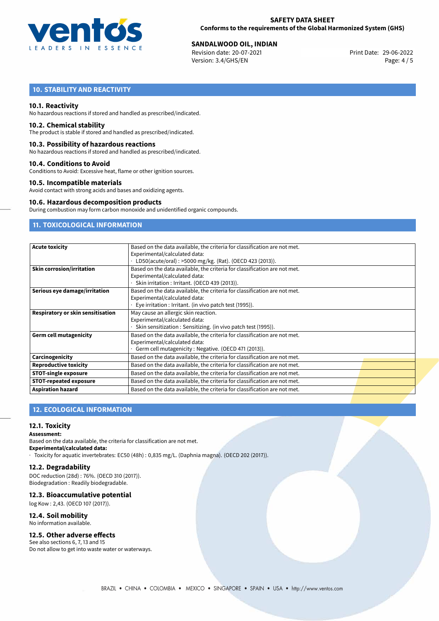

# **29-06-2022 SANDALWOOD OIL, INDIAN**<br>Revision date: 20-07-2021 Revision date: 29-06-2022

Revision date: 20-07-2021 Version: 3.4/GHS/EN Page: 4 / 5

# **10. STABILITY AND REACTIVITY**

## **10.1. Reactivity**

No hazardous reactions if stored and handled as prescribed/indicated.

### **10.2. Chemical stability**

The product is stable if stored and handled as prescribed/indicated.

### **10.3. Possibility of hazardous reactions**

No hazardous reactions if stored and handled as prescribed/indicated.

## **10.4. Conditions to Avoid**

Conditions to Avoid: Excessive heat, flame or other ignition sources.

## **10.5. Incompatible materials**

Avoid contact with strong acids and bases and oxidizing agents.

### **10.6. Hazardous decomposition products**

During combustion may form carbon monoxide and unidentified organic compounds.

# **11. TOXICOLOGICAL INFORMATION**

| <b>Acute toxicity</b>             | Based on the data available, the criteria for classification are not met. |  |  |  |  |
|-----------------------------------|---------------------------------------------------------------------------|--|--|--|--|
|                                   | Experimental/calculated data:                                             |  |  |  |  |
|                                   | LD50(acute/oral): >5000 mg/kg. (Rat). (OECD 423 (2013)).                  |  |  |  |  |
| <b>Skin corrosion/irritation</b>  | Based on the data available, the criteria for classification are not met. |  |  |  |  |
|                                   | Experimental/calculated data:                                             |  |  |  |  |
|                                   | Skin irritation : Irritant. (OECD 439 (2013)).                            |  |  |  |  |
| Serious eye damage/irritation     | Based on the data available, the criteria for classification are not met. |  |  |  |  |
|                                   | Experimental/calculated data:                                             |  |  |  |  |
|                                   | Eye irritation : Irritant. (in vivo patch test (1995)).                   |  |  |  |  |
| Respiratory or skin sensitisation | May cause an allergic skin reaction.                                      |  |  |  |  |
|                                   | Experimental/calculated data:                                             |  |  |  |  |
|                                   | Skin sensitization : Sensitizing. (in vivo patch test (1995)).            |  |  |  |  |
| <b>Germ cell mutagenicity</b>     | Based on the data available, the criteria for classification are not met. |  |  |  |  |
|                                   | Experimental/calculated data:                                             |  |  |  |  |
|                                   | Germ cell mutagenicity: Negative. (OECD 471 (2013)).                      |  |  |  |  |
| Carcinogenicity                   | Based on the data available, the criteria for classification are not met. |  |  |  |  |
| <b>Reproductive toxicity</b>      | Based on the data available, the criteria for classification are not met. |  |  |  |  |
| <b>STOT-single exposure</b>       | Based on the data available, the criteria for classification are not met. |  |  |  |  |
| <b>STOT-repeated exposure</b>     | Based on the data available, the criteria for classification are not met. |  |  |  |  |
| <b>Aspiration hazard</b>          | Based on the data available, the criteria for classification are not met. |  |  |  |  |

# **12. ECOLOGICAL INFORMATION**

# **12.1. Toxicity**

## **Assessment:**

Based on the data available, the criteria for classification are not met.

**Experimental/calculated data:**

· Toxicity for aquatic invertebrates: EC50 (48h) : 0,835 mg/L. (Daphnia magna). (OECD 202 (2017)).

# **12.2. Degradability**

DOC reduction (28d) : 76%. (OECD 310 (2017)). Biodegradation : Readily biodegradable.

# **12.3. Bioaccumulative potential**

log Kow : 2,43. (OECD 107 (2017)).

**12.4. Soil mobility** No information available.

# **12.5. Other adverse effects**

See also sections 6, 7, 13 and 15 Do not allow to get into waste water or waterways.